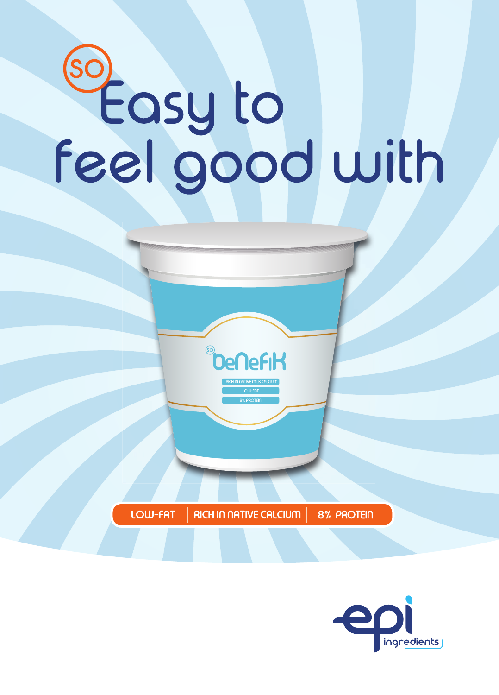# so<br>Seasy to<br>Feel good with

LOW-FAT **RICH IN NATIVE CALCIUM 8% PROTEIN** 

**OeneFiK**